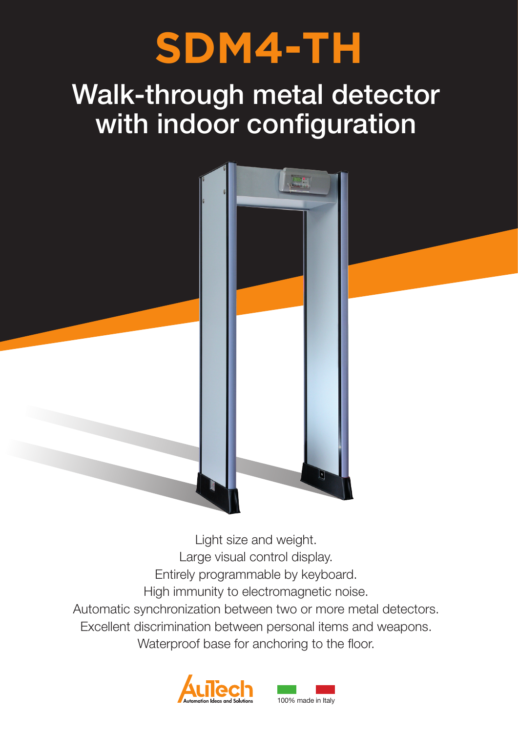# **SDM4-TH**

## Walk-through metal detector with indoor configuration



Light size and weight. Large visual control display. Entirely programmable by keyboard. High immunity to electromagnetic noise. Automatic synchronization between two or more metal detectors. Excellent discrimination between personal items and weapons. Waterproof base for anchoring to the floor.